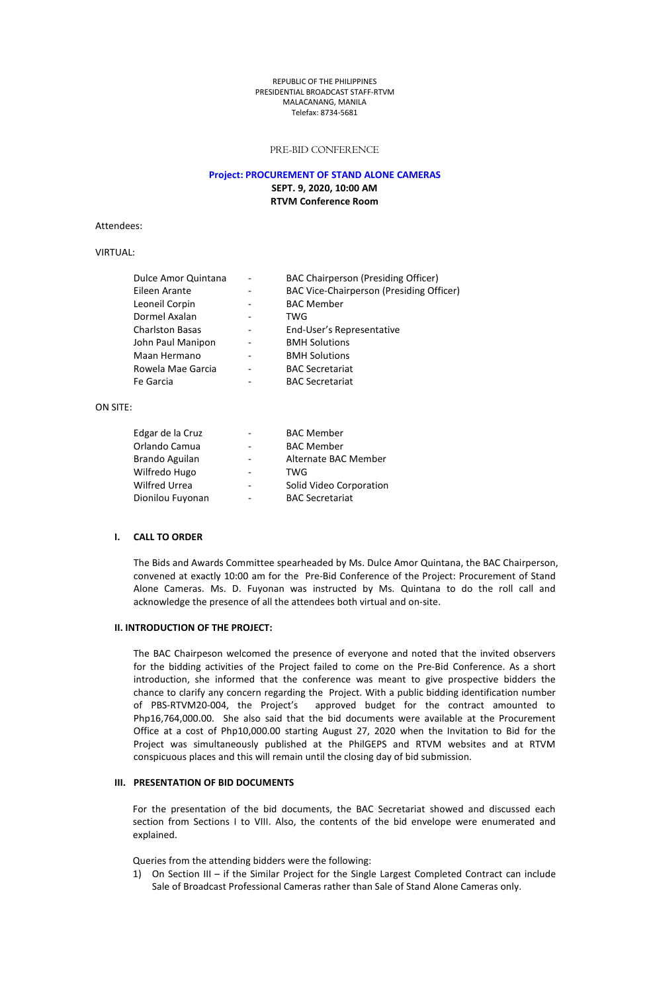#### REPUBLIC OFTHE PHILIPPINES PRESIDENTIAL BROADCAST STAFF-RTVM MALACANANG, MANILA Telefax: 8734-5681

# PRE-BID CONFERENCE

# **Project: PROCUREMENT OF STAND ALONE CAMERAS**

**SEPT. 9, 2020, 10:00 AM RTVM Conference Room**

Attendees:

# VIRTUAL:

| Dulce Amor Quintana    | $\overline{\phantom{a}}$ | BAC Chairperson (Presiding Officer)      |
|------------------------|--------------------------|------------------------------------------|
| Eileen Arante          | $\overline{\phantom{a}}$ | BAC Vice-Chairperson (Presiding Officer) |
| Leoneil Corpin         |                          | <b>BAC Member</b>                        |
| Dormel Axalan          |                          | TWG                                      |
| <b>Charlston Basas</b> | $\overline{\phantom{a}}$ | End-User's Representative                |
| John Paul Manipon      | $\overline{\phantom{a}}$ | <b>BMH Solutions</b>                     |
| Maan Hermano           | $\overline{\phantom{a}}$ | <b>BMH Solutions</b>                     |
| Rowela Mae Garcia      | $\overline{\phantom{a}}$ | <b>BAC Secretariat</b>                   |
| Fe Garcia              |                          | <b>BAC Secretariat</b>                   |

# ON SITE:

| Edgar de la Cruz |                          | <b>BAC Member</b>       |
|------------------|--------------------------|-------------------------|
| Orlando Camua    | $\overline{\phantom{a}}$ | <b>BAC Member</b>       |
| Brando Aguilan   | $\overline{\phantom{a}}$ | Alternate BAC Member    |
| Wilfredo Hugo    | $\overline{\phantom{a}}$ | TWG                     |
| Wilfred Urrea    |                          | Solid Video Corporation |
| Dionilou Fuyonan | $\overline{\phantom{0}}$ | <b>BAC Secretariat</b>  |

# **I. CALL TO ORDER**

The Bids and Awards Committee spearheaded by Ms. Dulce Amor Quintana, the BAC Chairperson, convened at exactly 10:00 am for the Pre-Bid Conference of the Project: Procurement of Stand Alone Cameras. Ms. D. Fuyonan was instructed by Ms. Quintana to do the roll call and acknowledge the presence of all the attendees both virtual and on-site.

#### **II. INTRODUCTION OF THEPROJECT:**

The BAC Chairpeson welcomed the presence of everyone and noted that the invited observers for the bidding activities of the Project failed to come on the Pre-Bid Conference. As a short introduction, she informed that the conference was meant to give prospective bidders the chance to clarify any concern regarding the Project. With a public bidding identification number of PBS-RTVM20-004, the Project's approved budget for the contract amounted to Php16,764,000.00. She also said that the bid documents were available at the Procurement Office at a cost of Php10,000.00 starting August 27, 2020 when the Invitation to Bid for the Project was simultaneously published at the PhilGEPS and RTVM websites and at RTVM conspicuous places and this will remain until the closing day of bid submission.

#### **III. PRESENTATION OF BID DOCUMENTS**

For the presentation of the bid documents, the BAC Secretariat showed and discussed each section from Sections I to VIII. Also, the contents of the bid envelope were enumerated and explained.

Queries from the attending bidders were the following:

1) On Section III – if the Similar Project for the Single Largest Completed Contract can include Sale of Broadcast Professional Cameras rather than Sale of Stand Alone Cameras only.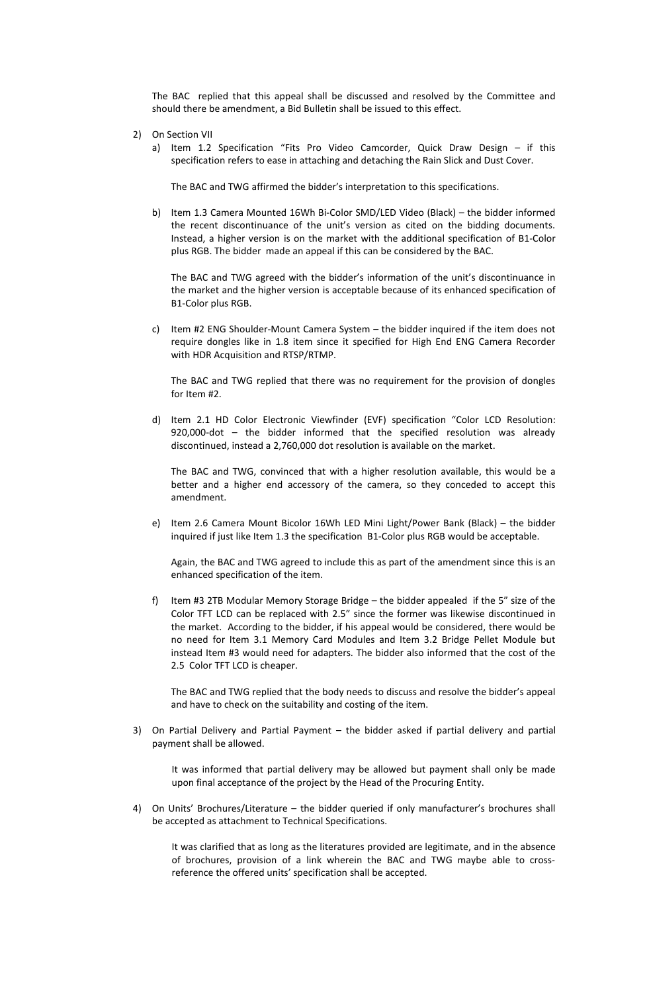The BAC replied that this appeal shall be discussed and resolved by the Committee and should there be amendment, a Bid Bulletin shall be issued to this effect.

- 2) On Section VII
	- a) Item 1.2 Specification "Fits Pro Video Camcorder, Quick Draw Design  $-$  if this specification refers to ease in attaching and detaching the Rain Slick and Dust Cover.

The BAC and TWG affirmed the bidder's interpretation to this specifications.

b) Item 1.3 Camera Mounted 16Wh Bi-Color SMD/LED Video (Black) – the bidder informed the recent discontinuance of the unit's version as cited on the bidding documents. Instead, a higher version is on the market with the additional specification of B1-Color plus RGB. The bidder made an appeal if this can be considered by the BAC.

The BAC and TWG agreed with the bidder's information of the unit's discontinuance in the market and the higher version is acceptable because of its enhanced specification of B1-Color plus RGB.

c) Item #2 ENG Shoulder-Mount Camera System – the bidder inquired if the item does not require dongles like in 1.8 item since it specified for High End ENG Camera Recorder with HDR Acquisition and RTSP/RTMP.

The BAC and TWG replied that there was no requirement for the provision of dongles for Item #2.

d) Item 2.1 HD Color Electronic Viewfinder (EVF) specification "Color LCD Resolution: 920,000-dot – the bidder informed that the specified resolution was already discontinued, instead a 2,760,000 dot resolution is available on the market.

The BAC and TWG, convinced that with a higher resolution available, this would be a better and a higher end accessory of the camera, so they conceded to accept this amendment.

e) Item 2.6 Camera Mount Bicolor 16Wh LED Mini Light/Power Bank (Black) – the bidder inquired if just like Item 1.3 the specification B1-Color plus RGB would be acceptable.

Again, the BAC and TWG agreed to include this as part of the amendment since this is an enhanced specification of the item.

f) Item #3 2TB Modular Memory Storage Bridge – the bidder appealed if the 5" size of the Color TFT LCD canbe replaced with 2.5" since the former was likewise discontinued in the market. According to the bidder, if his appeal would be considered, there would be no need for Item 3.1 Memory Card Modules and Item 3.2 Bridge Pellet Module but instead Item #3 would need for adapters. The bidder also informed that the cost of the 2.5 Color TFT LCD is cheaper.

The BAC and TWG replied that the body needs to discuss and resolve the bidder's appeal and have to check on the suitability and costing of the item.

3) On Partial Delivery and Partial Payment – the bidder asked if partial delivery and partial payment shall be allowed.

It was informed that partial delivery may be allowed but payment shall only be made upon final acceptance of the project by the Head of the Procuring Entity.

4) On Units' Brochures/Literature – the bidder queried if only manufacturer's brochures shall be accepted as attachment to Technical Specifications.

It was clarified that as long as the literatures provided are legitimate, and in the absence of brochures, provision of a link wherein the BAC and TWG maybe able to cross reference the offered units' specification shall be accepted.